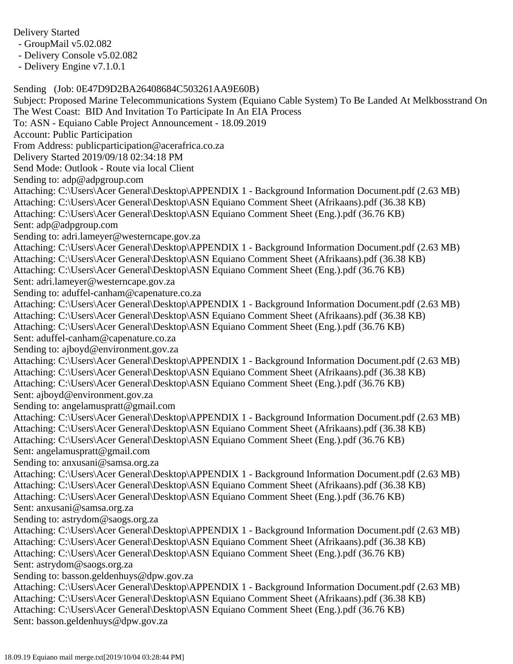Delivery Started

- GroupMail v5.02.082

- Delivery Console v5.02.082

- Delivery Engine v7.1.0.1

Sending (Job: 0E47D9D2BA26408684C503261AA9E60B) Subject: Proposed Marine Telecommunications System (Equiano Cable System) To Be Landed At Melkbosstrand On The West Coast: BID And Invitation To Participate In An EIA Process To: ASN - Equiano Cable Project Announcement - 18.09.2019 Account: Public Participation From Address: publicparticipation@acerafrica.co.za Delivery Started 2019/09/18 02:34:18 PM Send Mode: Outlook - Route via local Client Sending to: adp@adpgroup.com Attaching: C:\Users\Acer General\Desktop\APPENDIX 1 - Background Information Document.pdf (2.63 MB) Attaching: C:\Users\Acer General\Desktop\ASN Equiano Comment Sheet (Afrikaans).pdf (36.38 KB) Attaching: C:\Users\Acer General\Desktop\ASN Equiano Comment Sheet (Eng.).pdf (36.76 KB) Sent: adp@adpgroup.com Sending to: adri.lameyer@westerncape.gov.za Attaching: C:\Users\Acer General\Desktop\APPENDIX 1 - Background Information Document.pdf (2.63 MB) Attaching: C:\Users\Acer General\Desktop\ASN Equiano Comment Sheet (Afrikaans).pdf (36.38 KB) Attaching: C:\Users\Acer General\Desktop\ASN Equiano Comment Sheet (Eng.).pdf (36.76 KB) Sent: adri.lameyer@westerncape.gov.za Sending to: aduffel-canham@capenature.co.za Attaching: C:\Users\Acer General\Desktop\APPENDIX 1 - Background Information Document.pdf (2.63 MB) Attaching: C:\Users\Acer General\Desktop\ASN Equiano Comment Sheet (Afrikaans).pdf (36.38 KB) Attaching: C:\Users\Acer General\Desktop\ASN Equiano Comment Sheet (Eng.).pdf (36.76 KB) Sent: aduffel-canham@capenature.co.za Sending to: ajboyd@environment.gov.za Attaching: C:\Users\Acer General\Desktop\APPENDIX 1 - Background Information Document.pdf (2.63 MB) Attaching: C:\Users\Acer General\Desktop\ASN Equiano Comment Sheet (Afrikaans).pdf (36.38 KB) Attaching: C:\Users\Acer General\Desktop\ASN Equiano Comment Sheet (Eng.).pdf (36.76 KB) Sent: ajboyd@environment.gov.za Sending to: angelamuspratt@gmail.com Attaching: C:\Users\Acer General\Desktop\APPENDIX 1 - Background Information Document.pdf (2.63 MB) Attaching: C:\Users\Acer General\Desktop\ASN Equiano Comment Sheet (Afrikaans).pdf (36.38 KB) Attaching: C:\Users\Acer General\Desktop\ASN Equiano Comment Sheet (Eng.).pdf (36.76 KB) Sent: angelamuspratt@gmail.com Sending to: anxusani@samsa.org.za Attaching: C:\Users\Acer General\Desktop\APPENDIX 1 - Background Information Document.pdf (2.63 MB) Attaching: C:\Users\Acer General\Desktop\ASN Equiano Comment Sheet (Afrikaans).pdf (36.38 KB) Attaching: C:\Users\Acer General\Desktop\ASN Equiano Comment Sheet (Eng.).pdf (36.76 KB) Sent: anxusani@samsa.org.za Sending to: astrydom@saogs.org.za Attaching: C:\Users\Acer General\Desktop\APPENDIX 1 - Background Information Document.pdf (2.63 MB) Attaching: C:\Users\Acer General\Desktop\ASN Equiano Comment Sheet (Afrikaans).pdf (36.38 KB) Attaching: C:\Users\Acer General\Desktop\ASN Equiano Comment Sheet (Eng.).pdf (36.76 KB) Sent: astrydom@saogs.org.za Sending to: basson.geldenhuys@dpw.gov.za Attaching: C:\Users\Acer General\Desktop\APPENDIX 1 - Background Information Document.pdf (2.63 MB) Attaching: C:\Users\Acer General\Desktop\ASN Equiano Comment Sheet (Afrikaans).pdf (36.38 KB) Attaching: C:\Users\Acer General\Desktop\ASN Equiano Comment Sheet (Eng.).pdf (36.76 KB) Sent: basson.geldenhuys@dpw.gov.za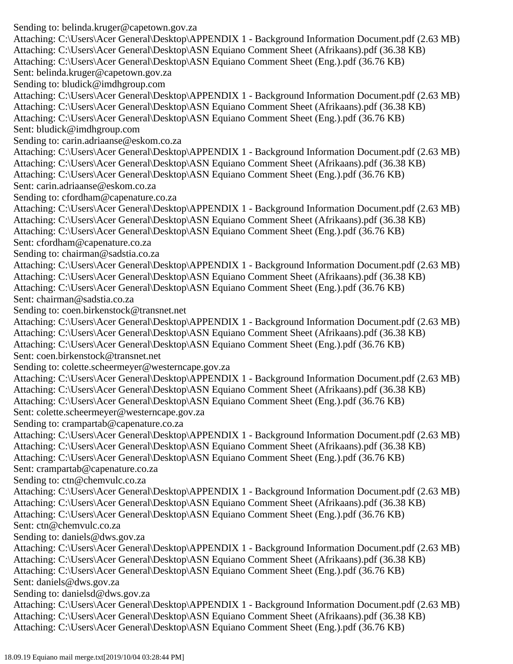Sending to: belinda.kruger@capetown.gov.za Attaching: C:\Users\Acer General\Desktop\APPENDIX 1 - Background Information Document.pdf (2.63 MB) Attaching: C:\Users\Acer General\Desktop\ASN Equiano Comment Sheet (Afrikaans).pdf (36.38 KB) Attaching: C:\Users\Acer General\Desktop\ASN Equiano Comment Sheet (Eng.).pdf (36.76 KB) Sent: belinda.kruger@capetown.gov.za Sending to: bludick@imdhgroup.com Attaching: C:\Users\Acer General\Desktop\APPENDIX 1 - Background Information Document.pdf (2.63 MB) Attaching: C:\Users\Acer General\Desktop\ASN Equiano Comment Sheet (Afrikaans).pdf (36.38 KB) Attaching: C:\Users\Acer General\Desktop\ASN Equiano Comment Sheet (Eng.).pdf (36.76 KB) Sent: bludick@imdhgroup.com Sending to: carin.adriaanse@eskom.co.za Attaching: C:\Users\Acer General\Desktop\APPENDIX 1 - Background Information Document.pdf (2.63 MB) Attaching: C:\Users\Acer General\Desktop\ASN Equiano Comment Sheet (Afrikaans).pdf (36.38 KB) Attaching: C:\Users\Acer General\Desktop\ASN Equiano Comment Sheet (Eng.).pdf (36.76 KB) Sent: carin.adriaanse@eskom.co.za Sending to: cfordham@capenature.co.za Attaching: C:\Users\Acer General\Desktop\APPENDIX 1 - Background Information Document.pdf (2.63 MB) Attaching: C:\Users\Acer General\Desktop\ASN Equiano Comment Sheet (Afrikaans).pdf (36.38 KB) Attaching: C:\Users\Acer General\Desktop\ASN Equiano Comment Sheet (Eng.).pdf (36.76 KB) Sent: cfordham@capenature.co.za Sending to: chairman@sadstia.co.za Attaching: C:\Users\Acer General\Desktop\APPENDIX 1 - Background Information Document.pdf (2.63 MB) Attaching: C:\Users\Acer General\Desktop\ASN Equiano Comment Sheet (Afrikaans).pdf (36.38 KB) Attaching: C:\Users\Acer General\Desktop\ASN Equiano Comment Sheet (Eng.).pdf (36.76 KB) Sent: chairman@sadstia.co.za Sending to: coen.birkenstock@transnet.net Attaching: C:\Users\Acer General\Desktop\APPENDIX 1 - Background Information Document.pdf (2.63 MB) Attaching: C:\Users\Acer General\Desktop\ASN Equiano Comment Sheet (Afrikaans).pdf (36.38 KB) Attaching: C:\Users\Acer General\Desktop\ASN Equiano Comment Sheet (Eng.).pdf (36.76 KB) Sent: coen.birkenstock@transnet.net Sending to: colette.scheermeyer@westerncape.gov.za Attaching: C:\Users\Acer General\Desktop\APPENDIX 1 - Background Information Document.pdf (2.63 MB) Attaching: C:\Users\Acer General\Desktop\ASN Equiano Comment Sheet (Afrikaans).pdf (36.38 KB) Attaching: C:\Users\Acer General\Desktop\ASN Equiano Comment Sheet (Eng.).pdf (36.76 KB) Sent: colette.scheermeyer@westerncape.gov.za Sending to: crampartab@capenature.co.za Attaching: C:\Users\Acer General\Desktop\APPENDIX 1 - Background Information Document.pdf (2.63 MB) Attaching: C:\Users\Acer General\Desktop\ASN Equiano Comment Sheet (Afrikaans).pdf (36.38 KB) Attaching: C:\Users\Acer General\Desktop\ASN Equiano Comment Sheet (Eng.).pdf (36.76 KB) Sent: crampartab@capenature.co.za Sending to: ctn@chemvulc.co.za Attaching: C:\Users\Acer General\Desktop\APPENDIX 1 - Background Information Document.pdf (2.63 MB) Attaching: C:\Users\Acer General\Desktop\ASN Equiano Comment Sheet (Afrikaans).pdf (36.38 KB) Attaching: C:\Users\Acer General\Desktop\ASN Equiano Comment Sheet (Eng.).pdf (36.76 KB) Sent: ctn@chemvulc.co.za Sending to: daniels@dws.gov.za Attaching: C:\Users\Acer General\Desktop\APPENDIX 1 - Background Information Document.pdf (2.63 MB) Attaching: C:\Users\Acer General\Desktop\ASN Equiano Comment Sheet (Afrikaans).pdf (36.38 KB) Attaching: C:\Users\Acer General\Desktop\ASN Equiano Comment Sheet (Eng.).pdf (36.76 KB) Sent: daniels@dws.gov.za Sending to: danielsd@dws.gov.za Attaching: C:\Users\Acer General\Desktop\APPENDIX 1 - Background Information Document.pdf (2.63 MB) Attaching: C:\Users\Acer General\Desktop\ASN Equiano Comment Sheet (Afrikaans).pdf (36.38 KB) Attaching: C:\Users\Acer General\Desktop\ASN Equiano Comment Sheet (Eng.).pdf (36.76 KB)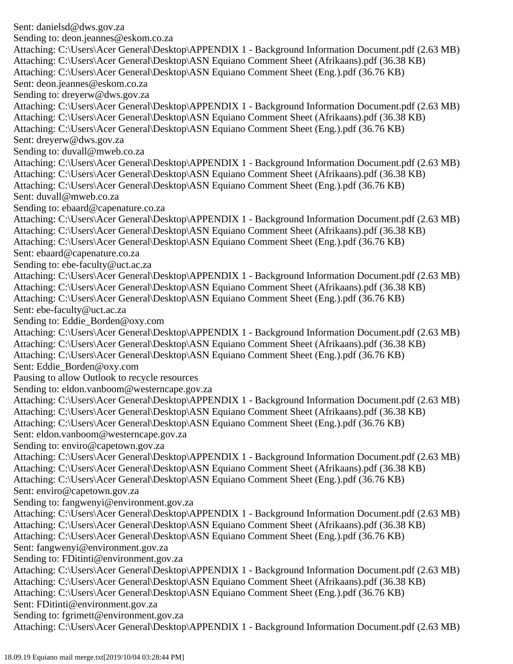Sent: danielsd@dws.gov.za Sending to: deon.jeannes@eskom.co.za Attaching: C:\Users\Acer General\Desktop\APPENDIX 1 - Background Information Document.pdf (2.63 MB) Attaching: C:\Users\Acer General\Desktop\ASN Equiano Comment Sheet (Afrikaans).pdf (36.38 KB) Attaching: C:\Users\Acer General\Desktop\ASN Equiano Comment Sheet (Eng.).pdf (36.76 KB) Sent: deon.jeannes@eskom.co.za Sending to: dreyerw@dws.gov.za Attaching: C:\Users\Acer General\Desktop\APPENDIX 1 - Background Information Document.pdf (2.63 MB) Attaching: C:\Users\Acer General\Desktop\ASN Equiano Comment Sheet (Afrikaans).pdf (36.38 KB) Attaching: C:\Users\Acer General\Desktop\ASN Equiano Comment Sheet (Eng.).pdf (36.76 KB) Sent: dreyerw@dws.gov.za Sending to: duvall@mweb.co.za Attaching: C:\Users\Acer General\Desktop\APPENDIX 1 - Background Information Document.pdf (2.63 MB) Attaching: C:\Users\Acer General\Desktop\ASN Equiano Comment Sheet (Afrikaans).pdf (36.38 KB) Attaching: C:\Users\Acer General\Desktop\ASN Equiano Comment Sheet (Eng.).pdf (36.76 KB) Sent: duvall@mweb.co.za Sending to: ebaard@capenature.co.za Attaching: C:\Users\Acer General\Desktop\APPENDIX 1 - Background Information Document.pdf (2.63 MB) Attaching: C:\Users\Acer General\Desktop\ASN Equiano Comment Sheet (Afrikaans).pdf (36.38 KB) Attaching: C:\Users\Acer General\Desktop\ASN Equiano Comment Sheet (Eng.).pdf (36.76 KB) Sent: ebaard@capenature.co.za Sending to: ebe-faculty@uct.ac.za Attaching: C:\Users\Acer General\Desktop\APPENDIX 1 - Background Information Document.pdf (2.63 MB) Attaching: C:\Users\Acer General\Desktop\ASN Equiano Comment Sheet (Afrikaans).pdf (36.38 KB) Attaching: C:\Users\Acer General\Desktop\ASN Equiano Comment Sheet (Eng.).pdf (36.76 KB) Sent: ebe-faculty@uct.ac.za Sending to: Eddie\_Borden@oxy.com Attaching: C:\Users\Acer General\Desktop\APPENDIX 1 - Background Information Document.pdf (2.63 MB) Attaching: C:\Users\Acer General\Desktop\ASN Equiano Comment Sheet (Afrikaans).pdf (36.38 KB) Attaching: C:\Users\Acer General\Desktop\ASN Equiano Comment Sheet (Eng.).pdf (36.76 KB) Sent: Eddie\_Borden@oxy.com Pausing to allow Outlook to recycle resources Sending to: eldon.vanboom@westerncape.gov.za Attaching: C:\Users\Acer General\Desktop\APPENDIX 1 - Background Information Document.pdf (2.63 MB) Attaching: C:\Users\Acer General\Desktop\ASN Equiano Comment Sheet (Afrikaans).pdf (36.38 KB) Attaching: C:\Users\Acer General\Desktop\ASN Equiano Comment Sheet (Eng.).pdf (36.76 KB) Sent: eldon.vanboom@westerncape.gov.za Sending to: enviro@capetown.gov.za Attaching: C:\Users\Acer General\Desktop\APPENDIX 1 - Background Information Document.pdf (2.63 MB) Attaching: C:\Users\Acer General\Desktop\ASN Equiano Comment Sheet (Afrikaans).pdf (36.38 KB) Attaching: C:\Users\Acer General\Desktop\ASN Equiano Comment Sheet (Eng.).pdf (36.76 KB) Sent: enviro@capetown.gov.za Sending to: fangwenyi@environment.gov.za Attaching: C:\Users\Acer General\Desktop\APPENDIX 1 - Background Information Document.pdf (2.63 MB) Attaching: C:\Users\Acer General\Desktop\ASN Equiano Comment Sheet (Afrikaans).pdf (36.38 KB) Attaching: C:\Users\Acer General\Desktop\ASN Equiano Comment Sheet (Eng.).pdf (36.76 KB) Sent: fangwenyi@environment.gov.za Sending to: FDitinti@environment.gov.za Attaching: C:\Users\Acer General\Desktop\APPENDIX 1 - Background Information Document.pdf (2.63 MB) Attaching: C:\Users\Acer General\Desktop\ASN Equiano Comment Sheet (Afrikaans).pdf (36.38 KB) Attaching: C:\Users\Acer General\Desktop\ASN Equiano Comment Sheet (Eng.).pdf (36.76 KB) Sent: FDitinti@environment.gov.za Sending to: fgrimett@environment.gov.za Attaching: C:\Users\Acer General\Desktop\APPENDIX 1 - Background Information Document.pdf (2.63 MB)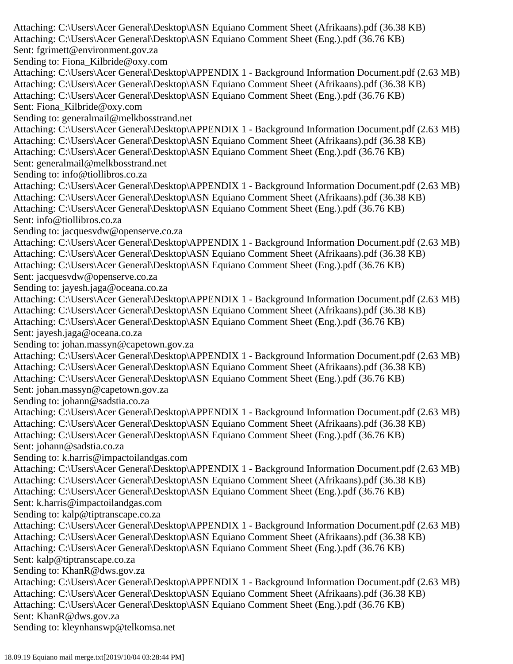Attaching: C:\Users\Acer General\Desktop\ASN Equiano Comment Sheet (Afrikaans).pdf (36.38 KB) Attaching: C:\Users\Acer General\Desktop\ASN Equiano Comment Sheet (Eng.).pdf (36.76 KB) Sent: fgrimett@environment.gov.za Sending to: Fiona Kilbride@oxy.com Attaching: C:\Users\Acer General\Desktop\APPENDIX 1 - Background Information Document.pdf (2.63 MB) Attaching: C:\Users\Acer General\Desktop\ASN Equiano Comment Sheet (Afrikaans).pdf (36.38 KB) Attaching: C:\Users\Acer General\Desktop\ASN Equiano Comment Sheet (Eng.).pdf (36.76 KB) Sent: Fiona\_Kilbride@oxy.com Sending to: generalmail@melkbosstrand.net Attaching: C:\Users\Acer General\Desktop\APPENDIX 1 - Background Information Document.pdf (2.63 MB) Attaching: C:\Users\Acer General\Desktop\ASN Equiano Comment Sheet (Afrikaans).pdf (36.38 KB) Attaching: C:\Users\Acer General\Desktop\ASN Equiano Comment Sheet (Eng.).pdf (36.76 KB) Sent: generalmail@melkbosstrand.net Sending to: info@tiollibros.co.za Attaching: C:\Users\Acer General\Desktop\APPENDIX 1 - Background Information Document.pdf (2.63 MB) Attaching: C:\Users\Acer General\Desktop\ASN Equiano Comment Sheet (Afrikaans).pdf (36.38 KB) Attaching: C:\Users\Acer General\Desktop\ASN Equiano Comment Sheet (Eng.).pdf (36.76 KB) Sent: info@tiollibros.co.za Sending to: jacquesvdw@openserve.co.za Attaching: C:\Users\Acer General\Desktop\APPENDIX 1 - Background Information Document.pdf (2.63 MB) Attaching: C:\Users\Acer General\Desktop\ASN Equiano Comment Sheet (Afrikaans).pdf (36.38 KB) Attaching: C:\Users\Acer General\Desktop\ASN Equiano Comment Sheet (Eng.).pdf (36.76 KB) Sent: jacquesvdw@openserve.co.za Sending to: jayesh.jaga@oceana.co.za Attaching: C:\Users\Acer General\Desktop\APPENDIX 1 - Background Information Document.pdf (2.63 MB) Attaching: C:\Users\Acer General\Desktop\ASN Equiano Comment Sheet (Afrikaans).pdf (36.38 KB) Attaching: C:\Users\Acer General\Desktop\ASN Equiano Comment Sheet (Eng.).pdf (36.76 KB) Sent: jayesh.jaga@oceana.co.za Sending to: johan.massyn@capetown.gov.za Attaching: C:\Users\Acer General\Desktop\APPENDIX 1 - Background Information Document.pdf (2.63 MB) Attaching: C:\Users\Acer General\Desktop\ASN Equiano Comment Sheet (Afrikaans).pdf (36.38 KB) Attaching: C:\Users\Acer General\Desktop\ASN Equiano Comment Sheet (Eng.).pdf (36.76 KB) Sent: johan.massyn@capetown.gov.za Sending to: johann@sadstia.co.za Attaching: C:\Users\Acer General\Desktop\APPENDIX 1 - Background Information Document.pdf (2.63 MB) Attaching: C:\Users\Acer General\Desktop\ASN Equiano Comment Sheet (Afrikaans).pdf (36.38 KB) Attaching: C:\Users\Acer General\Desktop\ASN Equiano Comment Sheet (Eng.).pdf (36.76 KB) Sent: johann@sadstia.co.za Sending to: k.harris@impactoilandgas.com Attaching: C:\Users\Acer General\Desktop\APPENDIX 1 - Background Information Document.pdf (2.63 MB) Attaching: C:\Users\Acer General\Desktop\ASN Equiano Comment Sheet (Afrikaans).pdf (36.38 KB) Attaching: C:\Users\Acer General\Desktop\ASN Equiano Comment Sheet (Eng.).pdf (36.76 KB) Sent: k.harris@impactoilandgas.com Sending to: kalp@tiptranscape.co.za Attaching: C:\Users\Acer General\Desktop\APPENDIX 1 - Background Information Document.pdf (2.63 MB) Attaching: C:\Users\Acer General\Desktop\ASN Equiano Comment Sheet (Afrikaans).pdf (36.38 KB) Attaching: C:\Users\Acer General\Desktop\ASN Equiano Comment Sheet (Eng.).pdf (36.76 KB) Sent: kalp@tiptranscape.co.za Sending to: KhanR@dws.gov.za Attaching: C:\Users\Acer General\Desktop\APPENDIX 1 - Background Information Document.pdf (2.63 MB) Attaching: C:\Users\Acer General\Desktop\ASN Equiano Comment Sheet (Afrikaans).pdf (36.38 KB) Attaching: C:\Users\Acer General\Desktop\ASN Equiano Comment Sheet (Eng.).pdf (36.76 KB) Sent: KhanR@dws.gov.za Sending to: kleynhanswp@telkomsa.net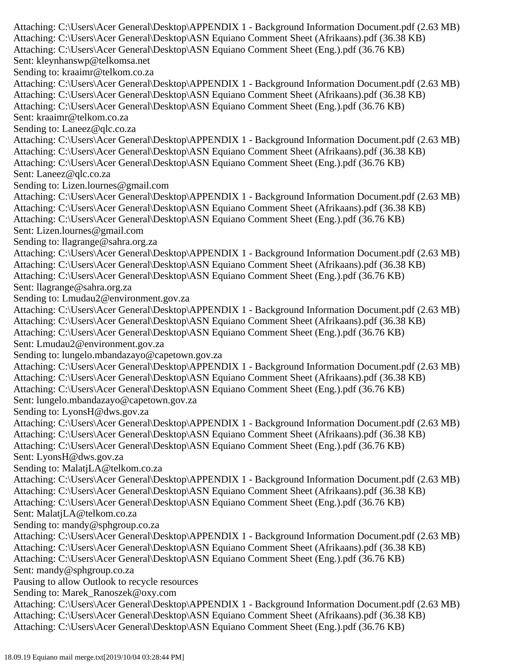Attaching: C:\Users\Acer General\Desktop\APPENDIX 1 - Background Information Document.pdf (2.63 MB) Attaching: C:\Users\Acer General\Desktop\ASN Equiano Comment Sheet (Afrikaans).pdf (36.38 KB) Attaching: C:\Users\Acer General\Desktop\ASN Equiano Comment Sheet (Eng.).pdf (36.76 KB) Sent: kleynhanswp@telkomsa.net Sending to: kraaimr@telkom.co.za Attaching: C:\Users\Acer General\Desktop\APPENDIX 1 - Background Information Document.pdf (2.63 MB) Attaching: C:\Users\Acer General\Desktop\ASN Equiano Comment Sheet (Afrikaans).pdf (36.38 KB) Attaching: C:\Users\Acer General\Desktop\ASN Equiano Comment Sheet (Eng.).pdf (36.76 KB) Sent: kraaimr@telkom.co.za Sending to: Laneez@qlc.co.za Attaching: C:\Users\Acer General\Desktop\APPENDIX 1 - Background Information Document.pdf (2.63 MB) Attaching: C:\Users\Acer General\Desktop\ASN Equiano Comment Sheet (Afrikaans).pdf (36.38 KB) Attaching: C:\Users\Acer General\Desktop\ASN Equiano Comment Sheet (Eng.).pdf (36.76 KB) Sent: Laneez@qlc.co.za Sending to: Lizen.lournes@gmail.com Attaching: C:\Users\Acer General\Desktop\APPENDIX 1 - Background Information Document.pdf (2.63 MB) Attaching: C:\Users\Acer General\Desktop\ASN Equiano Comment Sheet (Afrikaans).pdf (36.38 KB) Attaching: C:\Users\Acer General\Desktop\ASN Equiano Comment Sheet (Eng.).pdf (36.76 KB) Sent: Lizen.lournes@gmail.com Sending to: llagrange@sahra.org.za Attaching: C:\Users\Acer General\Desktop\APPENDIX 1 - Background Information Document.pdf (2.63 MB) Attaching: C:\Users\Acer General\Desktop\ASN Equiano Comment Sheet (Afrikaans).pdf (36.38 KB) Attaching: C:\Users\Acer General\Desktop\ASN Equiano Comment Sheet (Eng.).pdf (36.76 KB) Sent: llagrange@sahra.org.za Sending to: Lmudau2@environment.gov.za Attaching: C:\Users\Acer General\Desktop\APPENDIX 1 - Background Information Document.pdf (2.63 MB) Attaching: C:\Users\Acer General\Desktop\ASN Equiano Comment Sheet (Afrikaans).pdf (36.38 KB) Attaching: C:\Users\Acer General\Desktop\ASN Equiano Comment Sheet (Eng.).pdf (36.76 KB) Sent: Lmudau2@environment.gov.za Sending to: lungelo.mbandazayo@capetown.gov.za Attaching: C:\Users\Acer General\Desktop\APPENDIX 1 - Background Information Document.pdf (2.63 MB) Attaching: C:\Users\Acer General\Desktop\ASN Equiano Comment Sheet (Afrikaans).pdf (36.38 KB) Attaching: C:\Users\Acer General\Desktop\ASN Equiano Comment Sheet (Eng.).pdf (36.76 KB) Sent: lungelo.mbandazayo@capetown.gov.za Sending to: LyonsH@dws.gov.za Attaching: C:\Users\Acer General\Desktop\APPENDIX 1 - Background Information Document.pdf (2.63 MB) Attaching: C:\Users\Acer General\Desktop\ASN Equiano Comment Sheet (Afrikaans).pdf (36.38 KB) Attaching: C:\Users\Acer General\Desktop\ASN Equiano Comment Sheet (Eng.).pdf (36.76 KB) Sent: LyonsH@dws.gov.za Sending to: MalatjLA@telkom.co.za Attaching: C:\Users\Acer General\Desktop\APPENDIX 1 - Background Information Document.pdf (2.63 MB) Attaching: C:\Users\Acer General\Desktop\ASN Equiano Comment Sheet (Afrikaans).pdf (36.38 KB) Attaching: C:\Users\Acer General\Desktop\ASN Equiano Comment Sheet (Eng.).pdf (36.76 KB) Sent: MalatjLA@telkom.co.za Sending to: mandy@sphgroup.co.za Attaching: C:\Users\Acer General\Desktop\APPENDIX 1 - Background Information Document.pdf (2.63 MB) Attaching: C:\Users\Acer General\Desktop\ASN Equiano Comment Sheet (Afrikaans).pdf (36.38 KB) Attaching: C:\Users\Acer General\Desktop\ASN Equiano Comment Sheet (Eng.).pdf (36.76 KB) Sent: mandy@sphgroup.co.za Pausing to allow Outlook to recycle resources Sending to: Marek\_Ranoszek@oxy.com Attaching: C:\Users\Acer General\Desktop\APPENDIX 1 - Background Information Document.pdf (2.63 MB) Attaching: C:\Users\Acer General\Desktop\ASN Equiano Comment Sheet (Afrikaans).pdf (36.38 KB) Attaching: C:\Users\Acer General\Desktop\ASN Equiano Comment Sheet (Eng.).pdf (36.76 KB)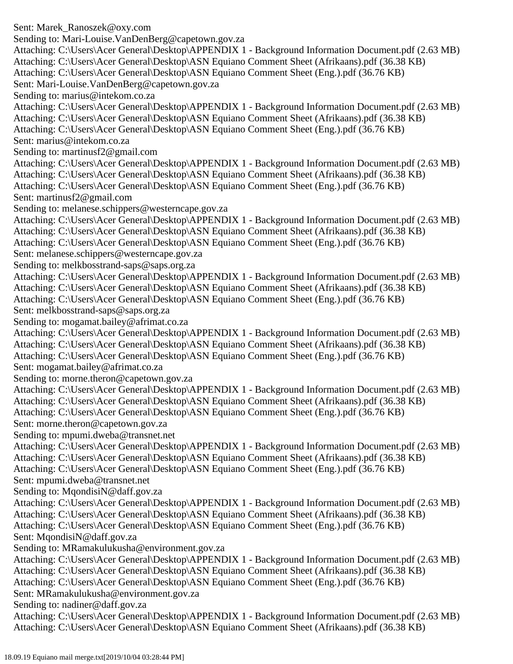Sent: Marek\_Ranoszek@oxy.com Sending to: Mari-Louise.VanDenBerg@capetown.gov.za Attaching: C:\Users\Acer General\Desktop\APPENDIX 1 - Background Information Document.pdf (2.63 MB) Attaching: C:\Users\Acer General\Desktop\ASN Equiano Comment Sheet (Afrikaans).pdf (36.38 KB) Attaching: C:\Users\Acer General\Desktop\ASN Equiano Comment Sheet (Eng.).pdf (36.76 KB) Sent: Mari-Louise.VanDenBerg@capetown.gov.za Sending to: marius@intekom.co.za Attaching: C:\Users\Acer General\Desktop\APPENDIX 1 - Background Information Document.pdf (2.63 MB) Attaching: C:\Users\Acer General\Desktop\ASN Equiano Comment Sheet (Afrikaans).pdf (36.38 KB) Attaching: C:\Users\Acer General\Desktop\ASN Equiano Comment Sheet (Eng.).pdf (36.76 KB) Sent: marius@intekom.co.za Sending to: martinusf2@gmail.com Attaching: C:\Users\Acer General\Desktop\APPENDIX 1 - Background Information Document.pdf (2.63 MB) Attaching: C:\Users\Acer General\Desktop\ASN Equiano Comment Sheet (Afrikaans).pdf (36.38 KB) Attaching: C:\Users\Acer General\Desktop\ASN Equiano Comment Sheet (Eng.).pdf (36.76 KB) Sent: martinusf2@gmail.com Sending to: melanese.schippers@westerncape.gov.za Attaching: C:\Users\Acer General\Desktop\APPENDIX 1 - Background Information Document.pdf (2.63 MB) Attaching: C:\Users\Acer General\Desktop\ASN Equiano Comment Sheet (Afrikaans).pdf (36.38 KB) Attaching: C:\Users\Acer General\Desktop\ASN Equiano Comment Sheet (Eng.).pdf (36.76 KB) Sent: melanese.schippers@westerncape.gov.za Sending to: melkbosstrand-saps@saps.org.za Attaching: C:\Users\Acer General\Desktop\APPENDIX 1 - Background Information Document.pdf (2.63 MB) Attaching: C:\Users\Acer General\Desktop\ASN Equiano Comment Sheet (Afrikaans).pdf (36.38 KB) Attaching: C:\Users\Acer General\Desktop\ASN Equiano Comment Sheet (Eng.).pdf (36.76 KB) Sent: melkbosstrand-saps@saps.org.za Sending to: mogamat.bailey@afrimat.co.za Attaching: C:\Users\Acer General\Desktop\APPENDIX 1 - Background Information Document.pdf (2.63 MB) Attaching: C:\Users\Acer General\Desktop\ASN Equiano Comment Sheet (Afrikaans).pdf (36.38 KB) Attaching: C:\Users\Acer General\Desktop\ASN Equiano Comment Sheet (Eng.).pdf (36.76 KB) Sent: mogamat.bailey@afrimat.co.za Sending to: morne.theron@capetown.gov.za Attaching: C:\Users\Acer General\Desktop\APPENDIX 1 - Background Information Document.pdf (2.63 MB) Attaching: C:\Users\Acer General\Desktop\ASN Equiano Comment Sheet (Afrikaans).pdf (36.38 KB) Attaching: C:\Users\Acer General\Desktop\ASN Equiano Comment Sheet (Eng.).pdf (36.76 KB) Sent: morne.theron@capetown.gov.za Sending to: mpumi.dweba@transnet.net Attaching: C:\Users\Acer General\Desktop\APPENDIX 1 - Background Information Document.pdf (2.63 MB) Attaching: C:\Users\Acer General\Desktop\ASN Equiano Comment Sheet (Afrikaans).pdf (36.38 KB) Attaching: C:\Users\Acer General\Desktop\ASN Equiano Comment Sheet (Eng.).pdf (36.76 KB) Sent: mpumi.dweba@transnet.net Sending to: MqondisiN@daff.gov.za Attaching: C:\Users\Acer General\Desktop\APPENDIX 1 - Background Information Document.pdf (2.63 MB) Attaching: C:\Users\Acer General\Desktop\ASN Equiano Comment Sheet (Afrikaans).pdf (36.38 KB) Attaching: C:\Users\Acer General\Desktop\ASN Equiano Comment Sheet (Eng.).pdf (36.76 KB) Sent: MqondisiN@daff.gov.za Sending to: MRamakulukusha@environment.gov.za Attaching: C:\Users\Acer General\Desktop\APPENDIX 1 - Background Information Document.pdf (2.63 MB) Attaching: C:\Users\Acer General\Desktop\ASN Equiano Comment Sheet (Afrikaans).pdf (36.38 KB) Attaching: C:\Users\Acer General\Desktop\ASN Equiano Comment Sheet (Eng.).pdf (36.76 KB) Sent: MRamakulukusha@environment.gov.za Sending to: nadiner@daff.gov.za Attaching: C:\Users\Acer General\Desktop\APPENDIX 1 - Background Information Document.pdf (2.63 MB) Attaching: C:\Users\Acer General\Desktop\ASN Equiano Comment Sheet (Afrikaans).pdf (36.38 KB)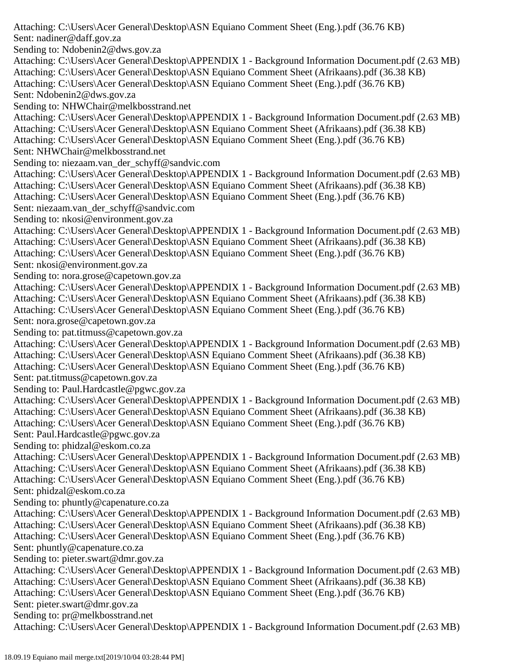Attaching: C:\Users\Acer General\Desktop\ASN Equiano Comment Sheet (Eng.).pdf (36.76 KB) Sent: nadiner@daff.gov.za Sending to: Ndobenin2@dws.gov.za Attaching: C:\Users\Acer General\Desktop\APPENDIX 1 - Background Information Document.pdf (2.63 MB) Attaching: C:\Users\Acer General\Desktop\ASN Equiano Comment Sheet (Afrikaans).pdf (36.38 KB) Attaching: C:\Users\Acer General\Desktop\ASN Equiano Comment Sheet (Eng.).pdf (36.76 KB) Sent: Ndobenin2@dws.gov.za Sending to: NHWChair@melkbosstrand.net Attaching: C:\Users\Acer General\Desktop\APPENDIX 1 - Background Information Document.pdf (2.63 MB) Attaching: C:\Users\Acer General\Desktop\ASN Equiano Comment Sheet (Afrikaans).pdf (36.38 KB) Attaching: C:\Users\Acer General\Desktop\ASN Equiano Comment Sheet (Eng.).pdf (36.76 KB) Sent: NHWChair@melkbosstrand.net Sending to: niezaam.van\_der\_schyff@sandvic.com Attaching: C:\Users\Acer General\Desktop\APPENDIX 1 - Background Information Document.pdf (2.63 MB) Attaching: C:\Users\Acer General\Desktop\ASN Equiano Comment Sheet (Afrikaans).pdf (36.38 KB) Attaching: C:\Users\Acer General\Desktop\ASN Equiano Comment Sheet (Eng.).pdf (36.76 KB) Sent: niezaam.van\_der\_schyff@sandvic.com Sending to: nkosi@environment.gov.za Attaching: C:\Users\Acer General\Desktop\APPENDIX 1 - Background Information Document.pdf (2.63 MB) Attaching: C:\Users\Acer General\Desktop\ASN Equiano Comment Sheet (Afrikaans).pdf (36.38 KB) Attaching: C:\Users\Acer General\Desktop\ASN Equiano Comment Sheet (Eng.).pdf (36.76 KB) Sent: nkosi@environment.gov.za Sending to: nora.grose@capetown.gov.za Attaching: C:\Users\Acer General\Desktop\APPENDIX 1 - Background Information Document.pdf (2.63 MB) Attaching: C:\Users\Acer General\Desktop\ASN Equiano Comment Sheet (Afrikaans).pdf (36.38 KB) Attaching: C:\Users\Acer General\Desktop\ASN Equiano Comment Sheet (Eng.).pdf (36.76 KB) Sent: nora.grose@capetown.gov.za Sending to: pat.titmuss@capetown.gov.za Attaching: C:\Users\Acer General\Desktop\APPENDIX 1 - Background Information Document.pdf (2.63 MB) Attaching: C:\Users\Acer General\Desktop\ASN Equiano Comment Sheet (Afrikaans).pdf (36.38 KB) Attaching: C:\Users\Acer General\Desktop\ASN Equiano Comment Sheet (Eng.).pdf (36.76 KB) Sent: pat.titmuss@capetown.gov.za Sending to: Paul.Hardcastle@pgwc.gov.za Attaching: C:\Users\Acer General\Desktop\APPENDIX 1 - Background Information Document.pdf (2.63 MB) Attaching: C:\Users\Acer General\Desktop\ASN Equiano Comment Sheet (Afrikaans).pdf (36.38 KB) Attaching: C:\Users\Acer General\Desktop\ASN Equiano Comment Sheet (Eng.).pdf (36.76 KB) Sent: Paul.Hardcastle@pgwc.gov.za Sending to: phidzal@eskom.co.za Attaching: C:\Users\Acer General\Desktop\APPENDIX 1 - Background Information Document.pdf (2.63 MB) Attaching: C:\Users\Acer General\Desktop\ASN Equiano Comment Sheet (Afrikaans).pdf (36.38 KB) Attaching: C:\Users\Acer General\Desktop\ASN Equiano Comment Sheet (Eng.).pdf (36.76 KB) Sent: phidzal@eskom.co.za Sending to: phuntly@capenature.co.za Attaching: C:\Users\Acer General\Desktop\APPENDIX 1 - Background Information Document.pdf (2.63 MB) Attaching: C:\Users\Acer General\Desktop\ASN Equiano Comment Sheet (Afrikaans).pdf (36.38 KB) Attaching: C:\Users\Acer General\Desktop\ASN Equiano Comment Sheet (Eng.).pdf (36.76 KB) Sent: phuntly@capenature.co.za Sending to: pieter.swart@dmr.gov.za Attaching: C:\Users\Acer General\Desktop\APPENDIX 1 - Background Information Document.pdf (2.63 MB) Attaching: C:\Users\Acer General\Desktop\ASN Equiano Comment Sheet (Afrikaans).pdf (36.38 KB) Attaching: C:\Users\Acer General\Desktop\ASN Equiano Comment Sheet (Eng.).pdf (36.76 KB) Sent: pieter.swart@dmr.gov.za Sending to: pr@melkbosstrand.net Attaching: C:\Users\Acer General\Desktop\APPENDIX 1 - Background Information Document.pdf (2.63 MB)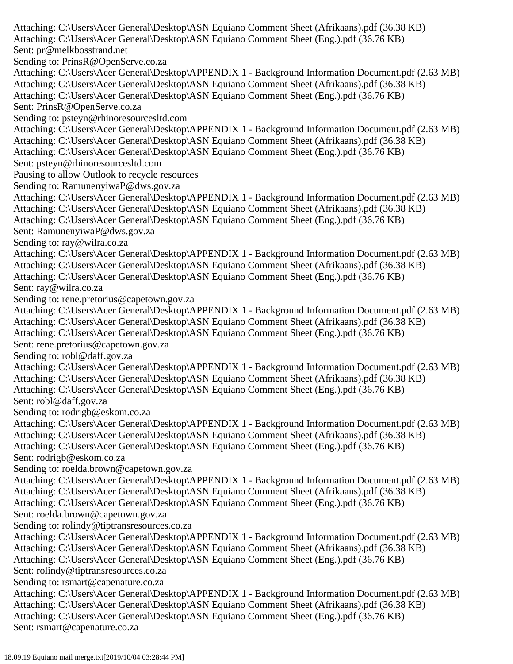Attaching: C:\Users\Acer General\Desktop\ASN Equiano Comment Sheet (Afrikaans).pdf (36.38 KB) Attaching: C:\Users\Acer General\Desktop\ASN Equiano Comment Sheet (Eng.).pdf (36.76 KB) Sent: pr@melkbosstrand.net Sending to: PrinsR@OpenServe.co.za Attaching: C:\Users\Acer General\Desktop\APPENDIX 1 - Background Information Document.pdf (2.63 MB) Attaching: C:\Users\Acer General\Desktop\ASN Equiano Comment Sheet (Afrikaans).pdf (36.38 KB) Attaching: C:\Users\Acer General\Desktop\ASN Equiano Comment Sheet (Eng.).pdf (36.76 KB) Sent: PrinsR@OpenServe.co.za Sending to: psteyn@rhinoresourcesltd.com Attaching: C:\Users\Acer General\Desktop\APPENDIX 1 - Background Information Document.pdf (2.63 MB) Attaching: C:\Users\Acer General\Desktop\ASN Equiano Comment Sheet (Afrikaans).pdf (36.38 KB) Attaching: C:\Users\Acer General\Desktop\ASN Equiano Comment Sheet (Eng.).pdf (36.76 KB) Sent: psteyn@rhinoresourcesltd.com Pausing to allow Outlook to recycle resources Sending to: RamunenyiwaP@dws.gov.za Attaching: C:\Users\Acer General\Desktop\APPENDIX 1 - Background Information Document.pdf (2.63 MB) Attaching: C:\Users\Acer General\Desktop\ASN Equiano Comment Sheet (Afrikaans).pdf (36.38 KB) Attaching: C:\Users\Acer General\Desktop\ASN Equiano Comment Sheet (Eng.).pdf (36.76 KB) Sent: RamunenyiwaP@dws.gov.za Sending to: ray@wilra.co.za Attaching: C:\Users\Acer General\Desktop\APPENDIX 1 - Background Information Document.pdf (2.63 MB) Attaching: C:\Users\Acer General\Desktop\ASN Equiano Comment Sheet (Afrikaans).pdf (36.38 KB) Attaching: C:\Users\Acer General\Desktop\ASN Equiano Comment Sheet (Eng.).pdf (36.76 KB) Sent: ray@wilra.co.za Sending to: rene.pretorius@capetown.gov.za Attaching: C:\Users\Acer General\Desktop\APPENDIX 1 - Background Information Document.pdf (2.63 MB) Attaching: C:\Users\Acer General\Desktop\ASN Equiano Comment Sheet (Afrikaans).pdf (36.38 KB) Attaching: C:\Users\Acer General\Desktop\ASN Equiano Comment Sheet (Eng.).pdf (36.76 KB) Sent: rene.pretorius@capetown.gov.za Sending to: robl@daff.gov.za Attaching: C:\Users\Acer General\Desktop\APPENDIX 1 - Background Information Document.pdf (2.63 MB) Attaching: C:\Users\Acer General\Desktop\ASN Equiano Comment Sheet (Afrikaans).pdf (36.38 KB) Attaching: C:\Users\Acer General\Desktop\ASN Equiano Comment Sheet (Eng.).pdf (36.76 KB) Sent: robl@daff.gov.za Sending to: rodrigb@eskom.co.za Attaching: C:\Users\Acer General\Desktop\APPENDIX 1 - Background Information Document.pdf (2.63 MB) Attaching: C:\Users\Acer General\Desktop\ASN Equiano Comment Sheet (Afrikaans).pdf (36.38 KB) Attaching: C:\Users\Acer General\Desktop\ASN Equiano Comment Sheet (Eng.).pdf (36.76 KB) Sent: rodrigb@eskom.co.za Sending to: roelda.brown@capetown.gov.za Attaching: C:\Users\Acer General\Desktop\APPENDIX 1 - Background Information Document.pdf (2.63 MB) Attaching: C:\Users\Acer General\Desktop\ASN Equiano Comment Sheet (Afrikaans).pdf (36.38 KB) Attaching: C:\Users\Acer General\Desktop\ASN Equiano Comment Sheet (Eng.).pdf (36.76 KB) Sent: roelda.brown@capetown.gov.za Sending to: rolindy@tiptransresources.co.za Attaching: C:\Users\Acer General\Desktop\APPENDIX 1 - Background Information Document.pdf (2.63 MB) Attaching: C:\Users\Acer General\Desktop\ASN Equiano Comment Sheet (Afrikaans).pdf (36.38 KB) Attaching: C:\Users\Acer General\Desktop\ASN Equiano Comment Sheet (Eng.).pdf (36.76 KB) Sent: rolindy@tiptransresources.co.za Sending to: rsmart@capenature.co.za Attaching: C:\Users\Acer General\Desktop\APPENDIX 1 - Background Information Document.pdf (2.63 MB) Attaching: C:\Users\Acer General\Desktop\ASN Equiano Comment Sheet (Afrikaans).pdf (36.38 KB) Attaching: C:\Users\Acer General\Desktop\ASN Equiano Comment Sheet (Eng.).pdf (36.76 KB) Sent: rsmart@capenature.co.za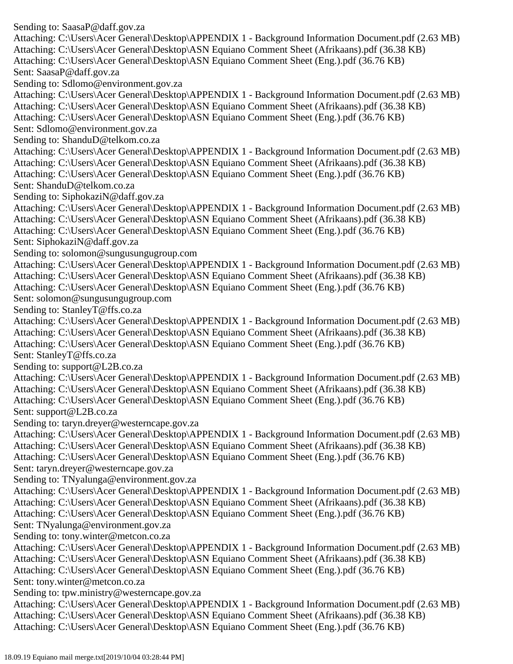Sending to: SaasaP@daff.gov.za Attaching: C:\Users\Acer General\Desktop\APPENDIX 1 - Background Information Document.pdf (2.63 MB) Attaching: C:\Users\Acer General\Desktop\ASN Equiano Comment Sheet (Afrikaans).pdf (36.38 KB) Attaching: C:\Users\Acer General\Desktop\ASN Equiano Comment Sheet (Eng.).pdf (36.76 KB) Sent: SaasaP@daff.gov.za Sending to: Sdlomo@environment.gov.za Attaching: C:\Users\Acer General\Desktop\APPENDIX 1 - Background Information Document.pdf (2.63 MB) Attaching: C:\Users\Acer General\Desktop\ASN Equiano Comment Sheet (Afrikaans).pdf (36.38 KB) Attaching: C:\Users\Acer General\Desktop\ASN Equiano Comment Sheet (Eng.).pdf (36.76 KB) Sent: Sdlomo@environment.gov.za Sending to: ShanduD@telkom.co.za Attaching: C:\Users\Acer General\Desktop\APPENDIX 1 - Background Information Document.pdf (2.63 MB) Attaching: C:\Users\Acer General\Desktop\ASN Equiano Comment Sheet (Afrikaans).pdf (36.38 KB) Attaching: C:\Users\Acer General\Desktop\ASN Equiano Comment Sheet (Eng.).pdf (36.76 KB) Sent: ShanduD@telkom.co.za Sending to: SiphokaziN@daff.gov.za Attaching: C:\Users\Acer General\Desktop\APPENDIX 1 - Background Information Document.pdf (2.63 MB) Attaching: C:\Users\Acer General\Desktop\ASN Equiano Comment Sheet (Afrikaans).pdf (36.38 KB) Attaching: C:\Users\Acer General\Desktop\ASN Equiano Comment Sheet (Eng.).pdf (36.76 KB) Sent: SiphokaziN@daff.gov.za Sending to: solomon@sungusungugroup.com Attaching: C:\Users\Acer General\Desktop\APPENDIX 1 - Background Information Document.pdf (2.63 MB) Attaching: C:\Users\Acer General\Desktop\ASN Equiano Comment Sheet (Afrikaans).pdf (36.38 KB) Attaching: C:\Users\Acer General\Desktop\ASN Equiano Comment Sheet (Eng.).pdf (36.76 KB) Sent: solomon@sungusungugroup.com Sending to: StanleyT@ffs.co.za Attaching: C:\Users\Acer General\Desktop\APPENDIX 1 - Background Information Document.pdf (2.63 MB) Attaching: C:\Users\Acer General\Desktop\ASN Equiano Comment Sheet (Afrikaans).pdf (36.38 KB) Attaching: C:\Users\Acer General\Desktop\ASN Equiano Comment Sheet (Eng.).pdf (36.76 KB) Sent: StanleyT@ffs.co.za Sending to: support@L2B.co.za Attaching: C:\Users\Acer General\Desktop\APPENDIX 1 - Background Information Document.pdf (2.63 MB) Attaching: C:\Users\Acer General\Desktop\ASN Equiano Comment Sheet (Afrikaans).pdf (36.38 KB) Attaching: C:\Users\Acer General\Desktop\ASN Equiano Comment Sheet (Eng.).pdf (36.76 KB) Sent: support@L2B.co.za Sending to: taryn.dreyer@westerncape.gov.za Attaching: C:\Users\Acer General\Desktop\APPENDIX 1 - Background Information Document.pdf (2.63 MB) Attaching: C:\Users\Acer General\Desktop\ASN Equiano Comment Sheet (Afrikaans).pdf (36.38 KB) Attaching: C:\Users\Acer General\Desktop\ASN Equiano Comment Sheet (Eng.).pdf (36.76 KB) Sent: taryn.dreyer@westerncape.gov.za Sending to: TNyalunga@environment.gov.za Attaching: C:\Users\Acer General\Desktop\APPENDIX 1 - Background Information Document.pdf (2.63 MB) Attaching: C:\Users\Acer General\Desktop\ASN Equiano Comment Sheet (Afrikaans).pdf (36.38 KB) Attaching: C:\Users\Acer General\Desktop\ASN Equiano Comment Sheet (Eng.).pdf (36.76 KB) Sent: TNyalunga@environment.gov.za Sending to: tony.winter@metcon.co.za Attaching: C:\Users\Acer General\Desktop\APPENDIX 1 - Background Information Document.pdf (2.63 MB) Attaching: C:\Users\Acer General\Desktop\ASN Equiano Comment Sheet (Afrikaans).pdf (36.38 KB) Attaching: C:\Users\Acer General\Desktop\ASN Equiano Comment Sheet (Eng.).pdf (36.76 KB) Sent: tony.winter@metcon.co.za Sending to: tpw.ministry@westerncape.gov.za Attaching: C:\Users\Acer General\Desktop\APPENDIX 1 - Background Information Document.pdf (2.63 MB) Attaching: C:\Users\Acer General\Desktop\ASN Equiano Comment Sheet (Afrikaans).pdf (36.38 KB) Attaching: C:\Users\Acer General\Desktop\ASN Equiano Comment Sheet (Eng.).pdf (36.76 KB)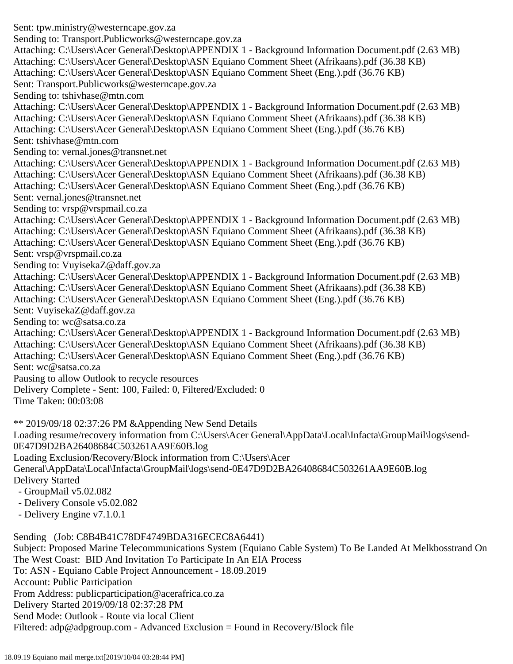Sent: tpw.ministry@westerncape.gov.za Sending to: Transport.Publicworks@westerncape.gov.za Attaching: C:\Users\Acer General\Desktop\APPENDIX 1 - Background Information Document.pdf (2.63 MB) Attaching: C:\Users\Acer General\Desktop\ASN Equiano Comment Sheet (Afrikaans).pdf (36.38 KB) Attaching: C:\Users\Acer General\Desktop\ASN Equiano Comment Sheet (Eng.).pdf (36.76 KB) Sent: Transport.Publicworks@westerncape.gov.za Sending to: tshivhase@mtn.com Attaching: C:\Users\Acer General\Desktop\APPENDIX 1 - Background Information Document.pdf (2.63 MB) Attaching: C:\Users\Acer General\Desktop\ASN Equiano Comment Sheet (Afrikaans).pdf (36.38 KB) Attaching: C:\Users\Acer General\Desktop\ASN Equiano Comment Sheet (Eng.).pdf (36.76 KB) Sent: tshivhase@mtn.com Sending to: vernal.jones@transnet.net Attaching: C:\Users\Acer General\Desktop\APPENDIX 1 - Background Information Document.pdf (2.63 MB) Attaching: C:\Users\Acer General\Desktop\ASN Equiano Comment Sheet (Afrikaans).pdf (36.38 KB) Attaching: C:\Users\Acer General\Desktop\ASN Equiano Comment Sheet (Eng.).pdf (36.76 KB) Sent: vernal.jones@transnet.net Sending to: vrsp@vrspmail.co.za Attaching: C:\Users\Acer General\Desktop\APPENDIX 1 - Background Information Document.pdf (2.63 MB) Attaching: C:\Users\Acer General\Desktop\ASN Equiano Comment Sheet (Afrikaans).pdf (36.38 KB) Attaching: C:\Users\Acer General\Desktop\ASN Equiano Comment Sheet (Eng.).pdf (36.76 KB) Sent: vrsp@vrspmail.co.za Sending to: VuyisekaZ@daff.gov.za Attaching: C:\Users\Acer General\Desktop\APPENDIX 1 - Background Information Document.pdf (2.63 MB) Attaching: C:\Users\Acer General\Desktop\ASN Equiano Comment Sheet (Afrikaans).pdf (36.38 KB) Attaching: C:\Users\Acer General\Desktop\ASN Equiano Comment Sheet (Eng.).pdf (36.76 KB) Sent: VuyisekaZ@daff.gov.za Sending to: wc@satsa.co.za Attaching: C:\Users\Acer General\Desktop\APPENDIX 1 - Background Information Document.pdf (2.63 MB) Attaching: C:\Users\Acer General\Desktop\ASN Equiano Comment Sheet (Afrikaans).pdf (36.38 KB) Attaching: C:\Users\Acer General\Desktop\ASN Equiano Comment Sheet (Eng.).pdf (36.76 KB) Sent: wc@satsa.co.za Pausing to allow Outlook to recycle resources Delivery Complete - Sent: 100, Failed: 0, Filtered/Excluded: 0 Time Taken: 00:03:08 \*\* 2019/09/18 02:37:26 PM &Appending New Send Details Loading resume/recovery information from C:\Users\Acer General\AppData\Local\Infacta\GroupMail\logs\send-0E47D9D2BA26408684C503261AA9E60B.log Loading Exclusion/Recovery/Block information from C:\Users\Acer General\AppData\Local\Infacta\GroupMail\logs\send-0E47D9D2BA26408684C503261AA9E60B.log Delivery Started - GroupMail v5.02.082 - Delivery Console v5.02.082 - Delivery Engine v7.1.0.1 Sending (Job: C8B4B41C78DF4749BDA316ECEC8A6441) Subject: Proposed Marine Telecommunications System (Equiano Cable System) To Be Landed At Melkbosstrand On The West Coast: BID And Invitation To Participate In An EIA Process

To: ASN - Equiano Cable Project Announcement - 18.09.2019

Account: Public Participation

From Address: publicparticipation@acerafrica.co.za

Delivery Started 2019/09/18 02:37:28 PM

Send Mode: Outlook - Route via local Client

Filtered: adp@adpgroup.com - Advanced Exclusion = Found in Recovery/Block file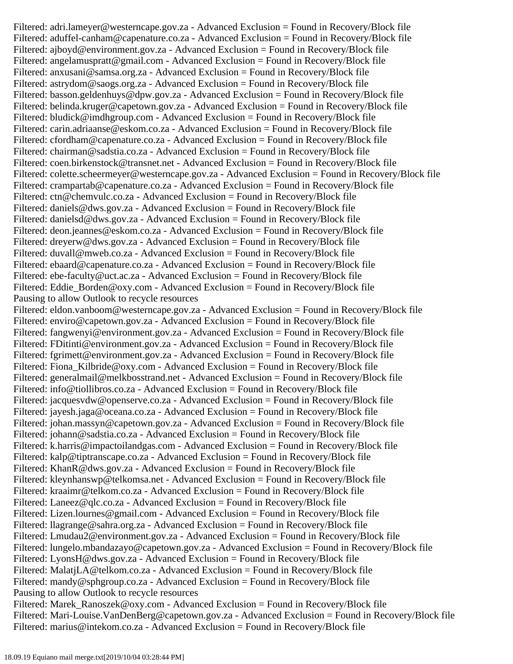Filtered: adri.lameyer@westerncape.gov.za - Advanced Exclusion = Found in Recovery/Block file Filtered: aduffel-canham@capenature.co.za - Advanced Exclusion = Found in Recovery/Block file Filtered: ajboyd@environment.gov.za - Advanced Exclusion = Found in Recovery/Block file Filtered: angelamuspratt@gmail.com - Advanced Exclusion = Found in Recovery/Block file Filtered: anxusani@samsa.org.za - Advanced Exclusion = Found in Recovery/Block file Filtered: astrydom@saogs.org.za - Advanced Exclusion = Found in Recovery/Block file Filtered: basson.geldenhuys@dpw.gov.za - Advanced Exclusion = Found in Recovery/Block file Filtered: belinda.kruger@capetown.gov.za - Advanced Exclusion = Found in Recovery/Block file Filtered: bludick@imdhgroup.com - Advanced Exclusion = Found in Recovery/Block file Filtered: carin.adriaanse@eskom.co.za - Advanced Exclusion = Found in Recovery/Block file Filtered: cfordham@capenature.co.za - Advanced Exclusion = Found in Recovery/Block file Filtered: chairman@sadstia.co.za - Advanced Exclusion = Found in Recovery/Block file Filtered: coen.birkenstock@transnet.net - Advanced Exclusion = Found in Recovery/Block file Filtered: colette.scheermeyer@westerncape.gov.za - Advanced Exclusion = Found in Recovery/Block file Filtered: crampartab@capenature.co.za - Advanced Exclusion = Found in Recovery/Block file Filtered: ctn@chemvulc.co.za - Advanced Exclusion = Found in Recovery/Block file Filtered: daniels@dws.gov.za - Advanced Exclusion = Found in Recovery/Block file Filtered: danielsd@dws.gov.za - Advanced Exclusion = Found in Recovery/Block file Filtered: deon.jeannes@eskom.co.za - Advanced Exclusion = Found in Recovery/Block file Filtered: dreyerw@dws.gov.za - Advanced Exclusion = Found in Recovery/Block file Filtered: duvall@mweb.co.za - Advanced Exclusion = Found in Recovery/Block file Filtered: ebaard@capenature.co.za - Advanced Exclusion = Found in Recovery/Block file Filtered: ebe-faculty@uct.ac.za - Advanced Exclusion = Found in Recovery/Block file Filtered: Eddie Borden@oxy.com - Advanced Exclusion = Found in Recovery/Block file Pausing to allow Outlook to recycle resources Filtered: eldon.vanboom@westerncape.gov.za - Advanced Exclusion = Found in Recovery/Block file Filtered: enviro@capetown.gov.za - Advanced Exclusion = Found in Recovery/Block file Filtered: fangwenyi@environment.gov.za - Advanced Exclusion = Found in Recovery/Block file Filtered: FDitinti@environment.gov.za - Advanced Exclusion = Found in Recovery/Block file Filtered: fgrimett@environment.gov.za - Advanced Exclusion = Found in Recovery/Block file Filtered: Fiona\_Kilbride@oxy.com - Advanced Exclusion = Found in Recovery/Block file Filtered: generalmail@melkbosstrand.net - Advanced Exclusion = Found in Recovery/Block file Filtered: info@tiollibros.co.za - Advanced Exclusion = Found in Recovery/Block file Filtered: jacquesvdw@openserve.co.za - Advanced Exclusion = Found in Recovery/Block file Filtered: jayesh.jaga@oceana.co.za - Advanced Exclusion = Found in Recovery/Block file Filtered: johan.massyn@capetown.gov.za - Advanced Exclusion = Found in Recovery/Block file Filtered: johann@sadstia.co.za - Advanced Exclusion = Found in Recovery/Block file Filtered: k.harris@impactoilandgas.com - Advanced Exclusion = Found in Recovery/Block file Filtered: kalp@tiptranscape.co.za - Advanced Exclusion = Found in Recovery/Block file Filtered: KhanR@dws.gov.za - Advanced Exclusion = Found in Recovery/Block file Filtered: kleynhanswp@telkomsa.net - Advanced Exclusion = Found in Recovery/Block file Filtered: kraaimr@telkom.co.za - Advanced Exclusion = Found in Recovery/Block file Filtered: Laneez@qlc.co.za - Advanced Exclusion = Found in Recovery/Block file Filtered: Lizen.lournes@gmail.com - Advanced Exclusion = Found in Recovery/Block file Filtered: llagrange@sahra.org.za - Advanced Exclusion = Found in Recovery/Block file Filtered: Lmudau2@environment.gov.za - Advanced Exclusion = Found in Recovery/Block file Filtered: lungelo.mbandazayo@capetown.gov.za - Advanced Exclusion = Found in Recovery/Block file Filtered: LyonsH@dws.gov.za - Advanced Exclusion = Found in Recovery/Block file Filtered: MalatjLA@telkom.co.za - Advanced Exclusion = Found in Recovery/Block file Filtered: mandy@sphgroup.co.za - Advanced Exclusion = Found in Recovery/Block file Pausing to allow Outlook to recycle resources Filtered: Marek\_Ranoszek@oxy.com - Advanced Exclusion = Found in Recovery/Block file Filtered: Mari-Louise.VanDenBerg@capetown.gov.za - Advanced Exclusion = Found in Recovery/Block file Filtered: marius@intekom.co.za - Advanced Exclusion = Found in Recovery/Block file